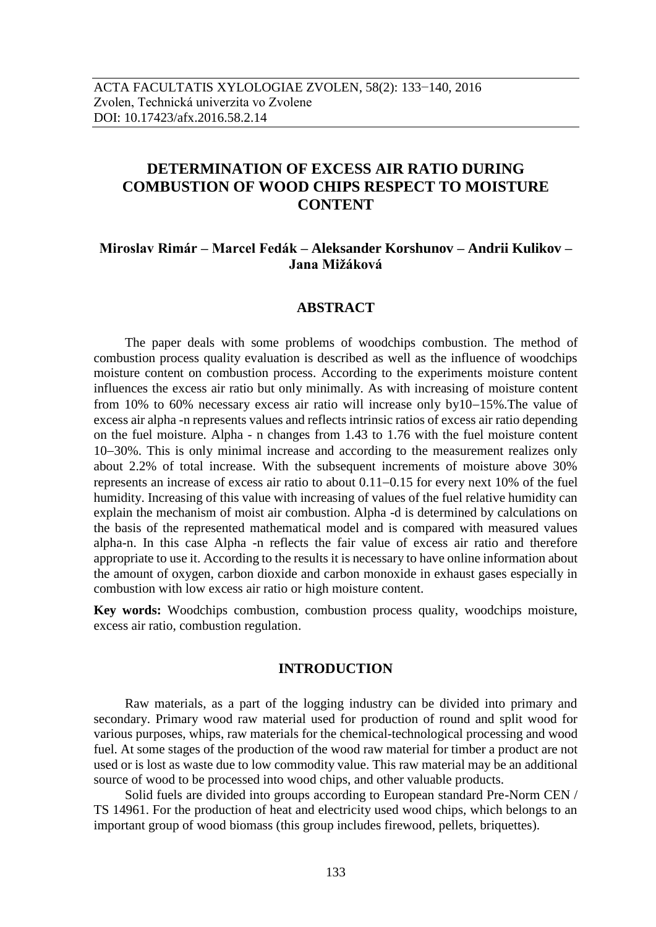# **DETERMINATION OF EXCESS AIR RATIO DURING COMBUSTION OF WOOD CHIPS RESPECT TO MOISTURE CONTENT**

# **Miroslav Rimár – Marcel Fedák – Aleksander Korshunov – Andrii Kulikov – Jana Mižáková**

## **ABSTRACT**

The paper deals with some problems of woodchips combustion. The method of combustion process quality evaluation is described as well as the influence of woodchips moisture content on combustion process. According to the experiments moisture content influences the excess air ratio but only minimally. As with increasing of moisture content from 10% to 60% necessary excess air ratio will increase only by  $10-15\%$ . The value of excess air alpha -n represents values and reflects intrinsic ratios of excess air ratio depending on the fuel moisture. Alpha - n changes from 1.43 to 1.76 with the fuel moisture content 10–30%. This is only minimal increase and according to the measurement realizes only about 2.2% of total increase. With the subsequent increments of moisture above 30% represents an increase of excess air ratio to about  $0.11-0.15$  for every next 10% of the fuel humidity. Increasing of this value with increasing of values of the fuel relative humidity can explain the mechanism of moist air combustion. Alpha -d is determined by calculations on the basis of the represented mathematical model and is compared with measured values alpha-n. In this case Alpha -n reflects the fair value of excess air ratio and therefore appropriate to use it. According to the results it is necessary to have online information about the amount of oxygen, carbon dioxide and carbon monoxide in exhaust gases especially in combustion with low excess air ratio or high moisture content.

**Key words:** Woodchips combustion, combustion process quality, woodchips moisture, excess air ratio, combustion regulation.

### **INTRODUCTION**

Raw materials, as a part of the logging industry can be divided into primary and secondary. Primary wood raw material used for production of round and split wood for various purposes, whips, raw materials for the chemical-technological processing and wood fuel. At some stages of the production of the wood raw material for timber a product are not used or is lost as waste due to low commodity value. This raw material may be an additional source of wood to be processed into wood chips, and other valuable products.

Solid fuels are divided into groups according to European standard Pre-Norm CEN / TS 14961. For the production of heat and electricity used wood chips, which belongs to an important group of wood biomass (this group includes firewood, pellets, briquettes).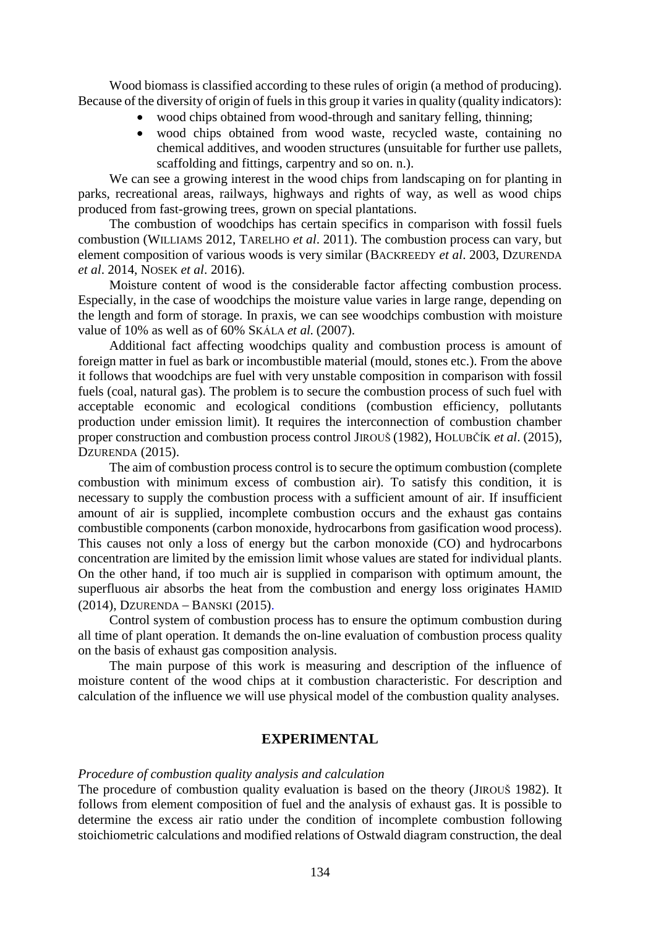Wood biomass is classified according to these rules of origin (a method of producing). Because of the diversity of origin of fuels in this group it varies in quality (quality indicators):

- wood chips obtained from wood-through and sanitary felling, thinning;
- wood chips obtained from wood waste, recycled waste, containing no chemical additives, and wooden structures (unsuitable for further use pallets, scaffolding and fittings, carpentry and so on. n.).

We can see a growing interest in the wood chips from landscaping on for planting in parks, recreational areas, railways, highways and rights of way, as well as wood chips produced from fast-growing trees, grown on special plantations.

The combustion of woodchips has certain specifics in comparison with fossil fuels combustion (WILLIAMS 2012, TARELHO *et al*. 2011). The combustion process can vary, but element composition of various woods is very similar (BACKREEDY *et al*. 2003, DZURENDA *et al*. 2014, NOSEK *et al*. 2016).

Moisture content of wood is the considerable factor affecting combustion process. Especially, in the case of woodchips the moisture value varies in large range, depending on the length and form of storage. In praxis, we can see woodchips combustion with moisture value of 10% as well as of 60% SKÁLA *et al.* (2007).

Additional fact affecting woodchips quality and combustion process is amount of foreign matter in fuel as bark or incombustible material (mould, stones etc.). From the above it follows that woodchips are fuel with very unstable composition in comparison with fossil fuels (coal, natural gas). The problem is to secure the combustion process of such fuel with acceptable economic and ecological conditions (combustion efficiency, pollutants production under emission limit). It requires the interconnection of combustion chamber proper construction and combustion process control JIROUŠ (1982), HOLUBČÍK *et al*. (2015), DZURENDA (2015).

The aim of combustion process control is to secure the optimum combustion (complete combustion with minimum excess of combustion air). To satisfy this condition, it is necessary to supply the combustion process with a sufficient amount of air. If insufficient amount of air is supplied, incomplete combustion occurs and the exhaust gas contains combustible components (carbon monoxide, hydrocarbons from gasification wood process). This causes not only a loss of energy but the carbon monoxide (CO) and hydrocarbons concentration are limited by the emission limit whose values are stated for individual plants. On the other hand, if too much air is supplied in comparison with optimum amount, the superfluous air absorbs the heat from the combustion and energy loss originates H[AMID](http://www.sciencedirect.com/science/article/pii/S0016236114006176) (2014), DZURENDA – BANSKI (2015).

Control system of combustion process has to ensure the optimum combustion during all time of plant operation. It demands the on-line evaluation of combustion process quality on the basis of exhaust gas composition analysis.

The main purpose of this work is measuring and description of the influence of moisture content of the wood chips at it combustion characteristic. For description and calculation of the influence we will use physical model of the combustion quality analyses.

### **EXPERIMENTAL**

#### *Procedure of combustion quality analysis and calculation*

The procedure of combustion quality evaluation is based on the theory (JIROUŠ 1982). It follows from element composition of fuel and the analysis of exhaust gas. It is possible to determine the excess air ratio under the condition of incomplete combustion following stoichiometric calculations and modified relations of Ostwald diagram construction, the deal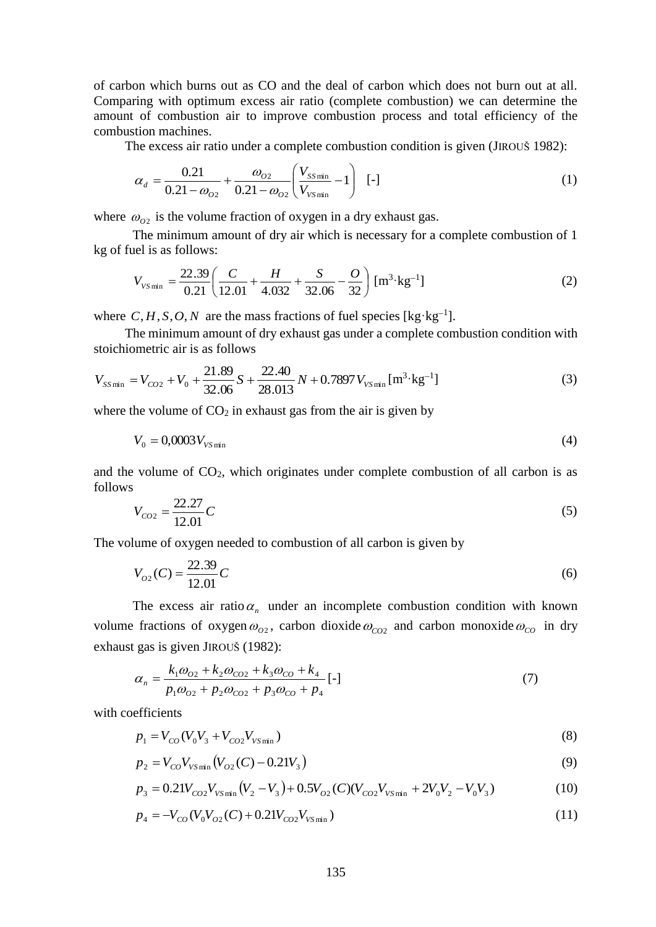of carbon which burns out as CO and the deal of carbon which does not burn out at all. Comparing with optimum excess air ratio (complete combustion) we can determine the amount of combustion air to improve combustion process and total efficiency of the combustion machines.

The excess air ratio under a complete combustion condition is given (JIROUŠ 1982):

$$
\alpha_d = \frac{0.21}{0.21 - \omega_{o2}} + \frac{\omega_{o2}}{0.21 - \omega_{o2}} \left(\frac{V_{ss\text{min}}}{V_{vs\text{min}}} - 1\right) \quad \text{[-]}
$$

where  $\omega_{02}$  is the volume fraction of oxygen in a dry exhaust gas.

The minimum amount of dry air which is necessary for a complete combustion of 1 kg of fuel is as follows:

$$
V_{V\text{Smin}} = \frac{22.39}{0.21} \left( \frac{C}{12.01} + \frac{H}{4.032} + \frac{S}{32.06} - \frac{O}{32} \right) \left[ \text{m}^3 \cdot \text{kg}^{-1} \right] \tag{2}
$$

where  $C, H, S, O, N$  are the mass fractions of fuel species [kg·kg<sup>-1</sup>].

The minimum amount of dry exhaust gas under a complete combustion condition with stoichiometric air is as follows

$$
V_{SS\min} = V_{CO2} + V_0 + \frac{21.89}{32.06}S + \frac{22.40}{28.013}N + 0.7897V_{V_{S\min}}[\text{m}^3 \cdot \text{kg}^{-1}]
$$
 (3)

where the volume of  $CO<sub>2</sub>$  in exhaust gas from the air is given by

$$
V_0 = 0.0003 V_{V \text{Smin}} \tag{4}
$$

and the volume of  $CO<sub>2</sub>$ , which originates under complete combustion of all carbon is as follows

$$
V_{CO2} = \frac{22.27}{12.01}C
$$
 (5)

The volume of oxygen needed to combustion of all carbon is given by

$$
V_{O2}(C) = \frac{22.39}{12.01}C\tag{6}
$$

The excess air ratio $\alpha_n$  under an incomplete combustion condition with known volume fractions of oxygen  $\omega_{02}$ , carbon dioxide  $\omega_{CO2}$  and carbon monoxide  $\omega_{CO}$  in dry exhaust gas is given JIROUŠ (1982):

$$
\alpha_n = \frac{k_1 \omega_{02} + k_2 \omega_{CO2} + k_3 \omega_{CO} + k_4}{p_1 \omega_{02} + p_2 \omega_{CO2} + p_3 \omega_{CO} + p_4} [-1]
$$
\n(7)

with coefficients

$$
p_1 = V_{CO}(V_0 V_3 + V_{CO2} V_{V \text{S min}})
$$
\n(8)

$$
p_2 = V_{CO} V_{V \text{Smin}} \left( V_{O2} \left( C \right) - 0.21 V_3 \right) \tag{9}
$$

$$
p_3 = 0.21V_{CO2}V_{Vsmin}(V_2 - V_3) + 0.5V_{O2}(C)(V_{CO2}V_{Vsmin} + 2V_0V_2 - V_0V_3)
$$
(10)

$$
p_4 = -V_{CO}(V_0V_{O2}(C) + 0.21V_{CO2}V_{Vsmin})
$$
\n(11)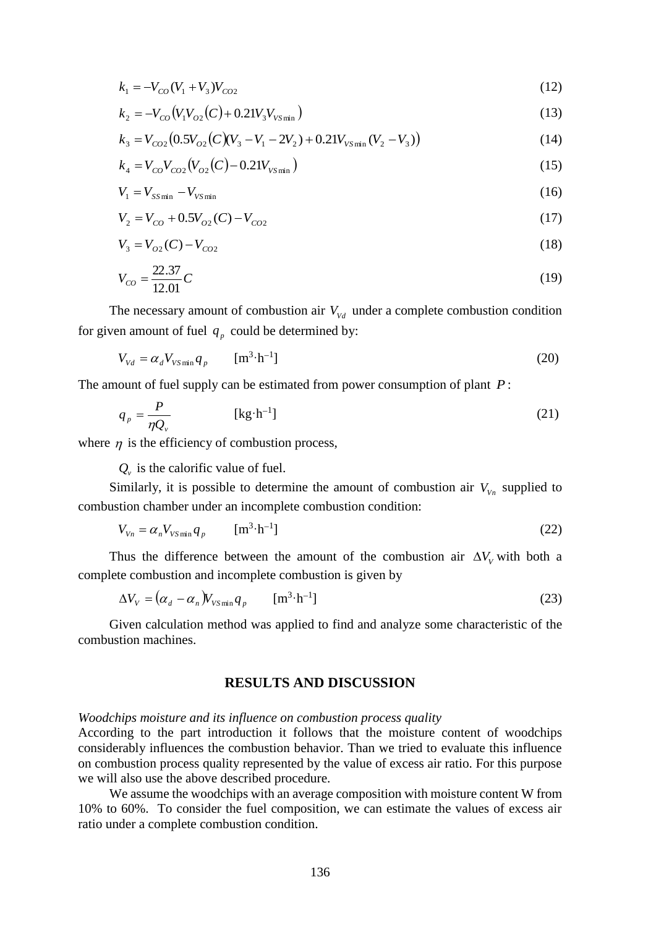$$
k_1 = -V_{CO}(V_1 + V_3)V_{CO2}
$$
\n(12)

$$
k_2 = -V_{CO}(V_1V_{O2}(C) + 0.21V_3V_{Vsmin})
$$
\n(13)

$$
k_3 = V_{CO2} (0.5 V_{O2} (C) (V_3 - V_1 - 2V_2) + 0.21 V_{V S \min} (V_2 - V_3))
$$
\n(14)

$$
k_4 = V_{CO} V_{CO2} (V_{O2} (C) - 0.21 V_{Vsmin})
$$
\n(15)

$$
V_1 = V_{SS\min} - V_{VS\min} \tag{16}
$$

$$
V_2 = V_{CO} + 0.5V_{O2}(C) - V_{CO2}
$$
\n(17)

$$
V_3 = V_{O2}(C) - V_{CO2} \tag{18}
$$

$$
V_{co} = \frac{22.37}{12.01}C
$$
 (19)

The necessary amount of combustion air  $V_{Vd}$  under a complete combustion condition for given amount of fuel  $q_p$  could be determined by:

$$
V_{Vd} = \alpha_d V_{V \text{S min}} q_p \qquad [\text{m}^3 \cdot \text{h}^{-1}] \tag{20}
$$

The amount of fuel supply can be estimated from power consumption of plant *P* :

$$
q_p = \frac{P}{\eta Q_v} \quad [\text{kg} \cdot \text{h}^{-1}] \tag{21}
$$

where  $\eta$  is the efficiency of combustion process,

 $Q<sub>v</sub>$  is the calorific value of fuel.

Similarly, it is possible to determine the amount of combustion air  $V_{V_n}$  supplied to combustion chamber under an incomplete combustion condition:

$$
V_{V_n} = \alpha_n V_{V \text{S min}} q_p \qquad \text{[m}^3 \cdot \text{h}^{-1}\text{]}
$$
 (22)

Thus the difference between the amount of the combustion air  $\Delta V_V$  with both a complete combustion and incomplete combustion is given by

$$
\Delta V_V = (\alpha_d - \alpha_n) V_{V \text{Smin}} q_p \qquad [\text{m}^3 \cdot \text{h}^{-1}] \tag{23}
$$

Given calculation method was applied to find and analyze some characteristic of the combustion machines.

# **RESULTS AND DISCUSSION**

### *Woodchips moisture and its influence on combustion process quality*

According to the part introduction it follows that the moisture content of woodchips considerably influences the combustion behavior. Than we tried to evaluate this influence on combustion process quality represented by the value of excess air ratio. For this purpose we will also use the above described procedure.

We assume the woodchips with an average composition with moisture content W from 10% to 60%. To consider the fuel composition, we can estimate the values of excess air ratio under a complete combustion condition.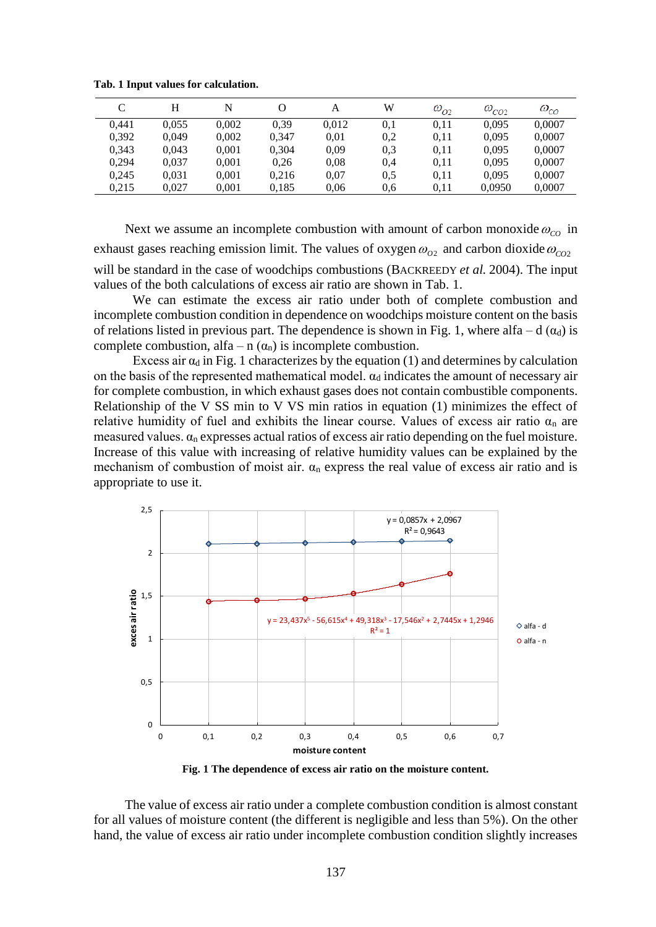|       | н     | N     |       | A     | W   | $\omega_{O2}$ | $\omega_{_{CO2}}$ | $\omega_{co}$ |
|-------|-------|-------|-------|-------|-----|---------------|-------------------|---------------|
| 0.441 | 0.055 | 0.002 | 0.39  | 0.012 | 0.1 | 0.11          | 0.095             | 0,0007        |
| 0.392 | 0.049 | 0.002 | 0.347 | 0.01  | 0,2 | 0.11          | 0.095             | 0,0007        |
| 0.343 | 0.043 | 0,001 | 0.304 | 0.09  | 0.3 | 0.11          | 0.095             | 0,0007        |
| 0.294 | 0.037 | 0,001 | 0,26  | 0.08  | 0,4 | 0.11          | 0.095             | 0,0007        |
| 0.245 | 0.031 | 0.001 | 0.216 | 0.07  | 0,5 | 0.11          | 0.095             | 0.0007        |
| 0.215 | 0.027 | 0,001 | 0.185 | 0.06  | 0.6 | 0.11          | 0,0950            | 0,0007        |

**Tab. 1 Input values for calculation.**

Next we assume an incomplete combustion with amount of carbon monoxide  $\omega_{co}$  in exhaust gases reaching emission limit. The values of oxygen  $\omega_{_{O2}}$  and carbon dioxide  $\omega_{_{CO2}}$ will be standard in the case of woodchips combustions (BACKREEDY *et al.* 2004). The input values of the both calculations of excess air ratio are shown in Tab. 1.

We can estimate the excess air ratio under both of complete combustion and incomplete combustion condition in dependence on woodchips moisture content on the basis of relations listed in previous part. The dependence is shown in Fig. 1, where alfa – d  $(\alpha_d)$  is complete combustion, alfa – n  $(\alpha_n)$  is incomplete combustion.

Excess air  $\alpha_d$  in Fig. 1 characterizes by the equation (1) and determines by calculation on the basis of the represented mathematical model.  $\alpha_d$  indicates the amount of necessary air for complete combustion, in which exhaust gases does not contain combustible components. Relationship of the V SS min to V VS min ratios in equation (1) minimizes the effect of relative humidity of fuel and exhibits the linear course. Values of excess air ratio  $\alpha_n$  are measured values.  $\alpha_n$  expresses actual ratios of excess air ratio depending on the fuel moisture. Increase of this value with increasing of relative humidity values can be explained by the mechanism of combustion of moist air.  $\alpha_n$  express the real value of excess air ratio and is appropriate to use it.



**Fig. 1 The dependence of excess air ratio on the moisture content.**

The value of excess air ratio under a complete combustion condition is almost constant for all values of moisture content (the different is negligible and less than 5%). On the other hand, the value of excess air ratio under incomplete combustion condition slightly increases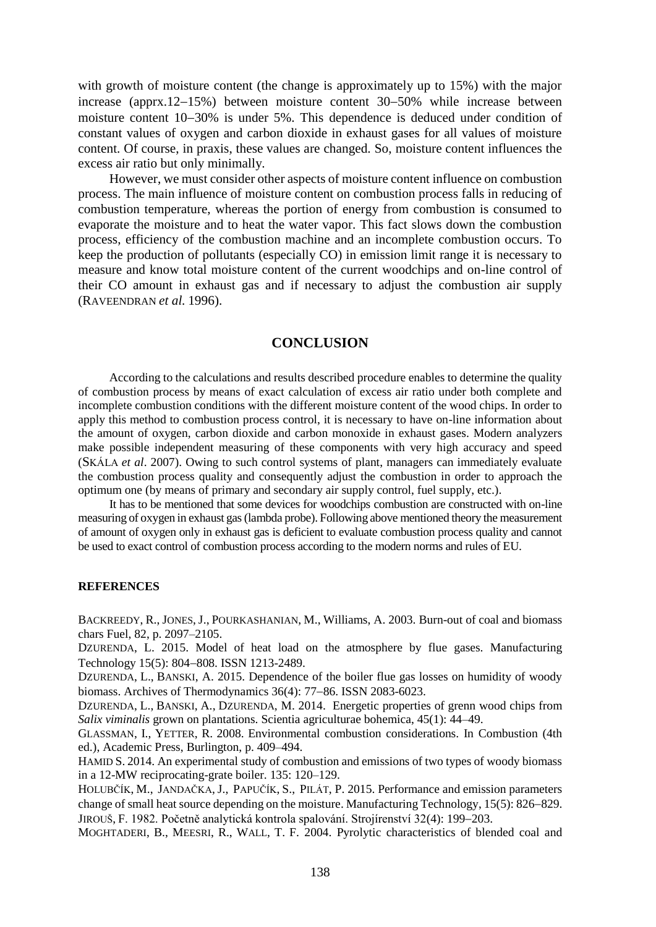with growth of moisture content (the change is approximately up to 15%) with the major increase (apprx.12–15%) between moisture content  $30-50%$  while increase between moisture content 10-30% is under 5%. This dependence is deduced under condition of constant values of oxygen and carbon dioxide in exhaust gases for all values of moisture content. Of course, in praxis, these values are changed. So, moisture content influences the excess air ratio but only minimally.

However, we must consider other aspects of moisture content influence on combustion process. The main influence of moisture content on combustion process falls in reducing of combustion temperature, whereas the portion of energy from combustion is consumed to evaporate the moisture and to heat the water vapor. This fact slows down the combustion process, efficiency of the combustion machine and an incomplete combustion occurs. To keep the production of pollutants (especially CO) in emission limit range it is necessary to measure and know total moisture content of the current woodchips and on-line control of their CO amount in exhaust gas and if necessary to adjust the combustion air supply (RAVEENDRAN *et al.* 1996).

### **CONCLUSION**

According to the calculations and results described procedure enables to determine the quality of combustion process by means of exact calculation of excess air ratio under both complete and incomplete combustion conditions with the different moisture content of the wood chips. In order to apply this method to combustion process control, it is necessary to have on-line information about the amount of oxygen, carbon dioxide and carbon monoxide in exhaust gases. Modern analyzers make possible independent measuring of these components with very high accuracy and speed (SKÁLA *et al*. 2007). Owing to such control systems of plant, managers can immediately evaluate the combustion process quality and consequently adjust the combustion in order to approach the optimum one (by means of primary and secondary air supply control, fuel supply, etc.).

It has to be mentioned that some devices for woodchips combustion are constructed with on-line measuring of oxygen in exhaust gas (lambda probe). Following above mentioned theory the measurement of amount of oxygen only in exhaust gas is deficient to evaluate combustion process quality and cannot be used to exact control of combustion process according to the modern norms and rules of EU.

### **REFERENCES**

BACKREEDY, R., JONES, J., POURKASHANIAN, M., Williams, A. 2003. Burn-out of coal and biomass chars Fuel, 82, p. 2097–2105.

DZURENDA, L. 2015. Model of heat load on the atmosphere by flue gases. Manufacturing Technology 15(5): 804–808. ISSN 1213-2489.

DZURENDA, L., BANSKI, A. 2015. Dependence of the boiler flue gas losses on humidity of woody biomass. Archives of Thermodynamics 36(4): 77–86. ISSN 2083-6023.

DZURENDA, L., BANSKI, A., DZURENDA, M. 2014. Energetic properties of grenn wood chips from *Salix viminalis* grown on plantations. Scientia agriculturae bohemica, 45(1): 44–49.

GLASSMAN, I., YETTER, R. 2008. Environmental combustion considerations. In Combustion (4th ed.), Academic Press, Burlington, p. 409–494.

H[AMID](http://www.sciencedirect.com/science/article/pii/S0016236114006176) S. 2014. An experimental study of combustion and emissions of two types of woody biomass in a 12-MW reciprocating-grate boiler. [135:](http://www.sciencedirect.com/science/journal/00162361/135/supp/C) 120–129.

HOLUBČÍK, M., JANDAČKA, J., PAPUČÍK, S., PILÁT, P. 2015. Performance and emission parameters change of small heat source depending on the moisture. Manufacturing Technology,  $15(5)$ :  $826-829$ . JIROUŠ, F. 1982. Početně analytická kontrola spalování. Strojírenství 32(4): 199–203.

MOGHTADERI, B., MEESRI, R., WALL, T. F. 2004. Pyrolytic characteristics of blended coal and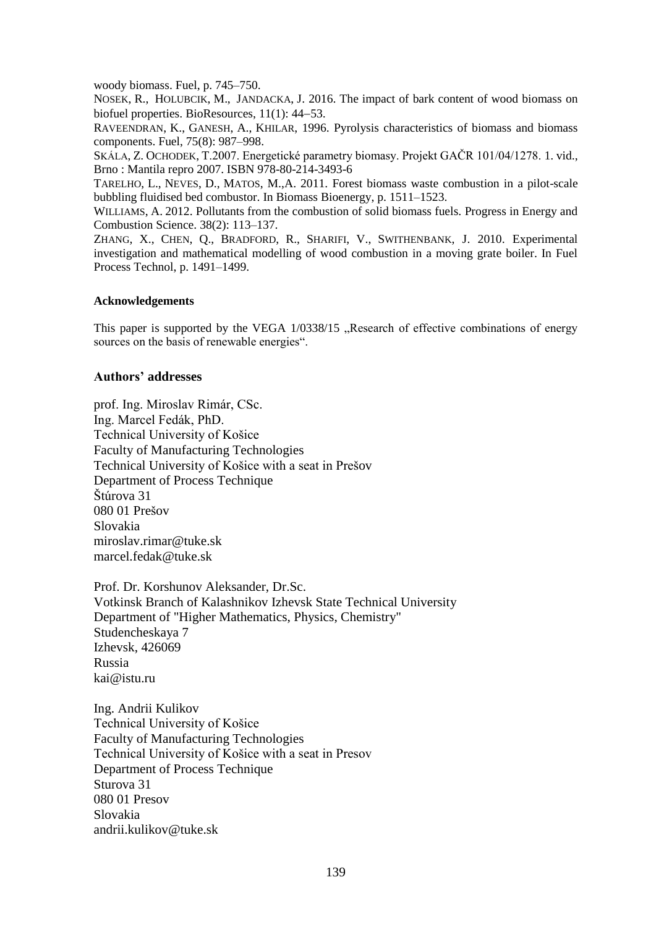woody biomass. Fuel, p. 745–750.

N[OSEK](https://www.scopus.com/authid/detail.uri?authorId=46662035100&eid=2-s2.0-84949895454), R., H[OLUBCIK](https://www.scopus.com/authid/detail.uri?authorId=55033702400&eid=2-s2.0-84949895454), M., J[ANDACKA](https://www.scopus.com/authid/detail.uri?authorId=6507359476&eid=2-s2.0-84949895454), J. 2016. The impact of bark content of wood biomass on biofuel properties. [BioResources,](https://www.scopus.com/source/sourceInfo.uri?sourceId=5900153306&origin=recordpage) 11(1): 44–53.

RAVEENDRAN, K., GANESH, A., KHILAR, 1996. Pyrolysis characteristics of biomass and biomass components. Fuel, 75(8): 987–998.

SKÁLA, Z. OCHODEK, T.2007. Energetické parametry biomasy. Projekt GAČR 101/04/1278. 1. vid., Brno : Mantila repro 2007. ISBN 978-80-214-3493-6

TARELHO, L., NEVES, D., MATOS, M.,A. 2011. Forest biomass waste combustion in a pilot-scale bubbling fluidised bed combustor. In Biomass Bioenergy, p. 1511–1523.

W[ILLIAMS](http://www.sciencedirect.com/science/article/pii/S0360128511000530), A. 2012. Pollutants from the combustion of solid biomass fuels. [Progress in Energy and](http://www.sciencedirect.com/science/journal/03601285)  [Combustion Science.](http://www.sciencedirect.com/science/journal/03601285) [38\(2\)](http://www.sciencedirect.com/science/journal/03601285/38/2): 113–137.

ZHANG, X., CHEN, Q., BRADFORD, R., SHARIFI, V., SWITHENBANK, J. 2010. Experimental investigation and mathematical modelling of wood combustion in a moving grate boiler. In Fuel Process Technol, p. 1491–1499.

### **Acknowledgements**

This paper is supported by the VEGA 1/0338/15 , Research of effective combinations of energy sources on the basis of renewable energies".

### **Authors' addresses**

prof. Ing. Miroslav Rimár, CSc. Ing. Marcel Fedák, PhD. Technical University of Košice Faculty of Manufacturing Technologies Technical University of Košice with a seat in Prešov Department of Process Technique Štúrova 31 080 01 Prešov Slovakia miroslav.rimar@tuke.sk marcel.fedak@tuke.sk

Prof. Dr. Korshunov Aleksander, Dr.Sc. Votkinsk Branch of Kalashnikov Izhevsk State Technical University Department of "Higher Mathematics, Physics, Chemistry" Studencheskaya 7 Izhevsk, 426069 Russia kai@istu.ru

Ing. Andrii Kulikov Technical University of Košice Faculty of Manufacturing Technologies Technical University of Košice with a seat in Presov Department of Process Technique Sturova 31 080 01 Presov Slovakia andrii.kulikov@tuke.sk